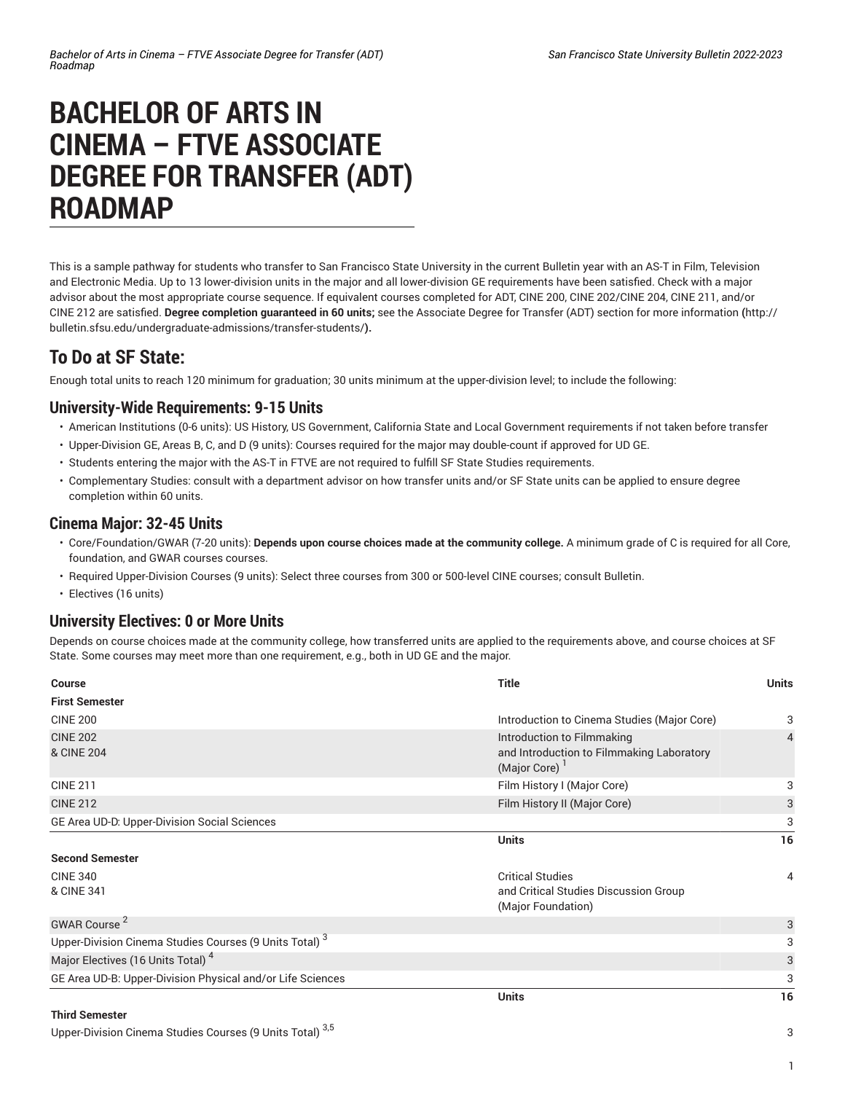# **BACHELOR OF ARTS IN CINEMA – FTVE ASSOCIATE DEGREE FOR TRANSFER (ADT) ROADMAP**

This is a sample pathway for students who transfer to San Francisco State University in the current Bulletin year with an AS-T in Film, Television and Electronic Media. Up to 13 lower-division units in the major and all lower-division GE requirements have been satisfied. Check with a major advisor about the most appropriate course sequence. If equivalent courses completed for ADT, CINE 200, CINE 202/CINE 204, CINE 211, and/or CINE 212 are satisfied. **Degree completion guaranteed in 60 units;** see the Associate Degree for Transfer (ADT) section for more [information](http://bulletin.sfsu.edu/undergraduate-admissions/transfer-students/) **(**[http://](http://bulletin.sfsu.edu/undergraduate-admissions/transfer-students/) [bulletin.sfsu.edu/undergraduate-admissions/transfer-students/](http://bulletin.sfsu.edu/undergraduate-admissions/transfer-students/)**).**

# **To Do at SF State:**

Enough total units to reach 120 minimum for graduation; 30 units minimum at the upper-division level; to include the following:

#### **University-Wide Requirements: 9-15 Units**

- American Institutions (0-6 units): US History, US Government, California State and Local Government requirements if not taken before transfer
- Upper-Division GE, Areas B, C, and D (9 units): Courses required for the major may double-count if approved for UD GE.
- Students entering the major with the AS-T in FTVE are not required to fulfill SF State Studies requirements.
- Complementary Studies: consult with a department advisor on how transfer units and/or SF State units can be applied to ensure degree completion within 60 units.

## **Cinema Major: 32-45 Units**

- Core/Foundation/GWAR (7-20 units): **Depends upon course choices made at the community college.** A minimum grade of C is required for all Core, foundation, and GWAR courses courses.
- Required Upper-Division Courses (9 units): Select three courses from 300 or 500-level CINE courses; consult Bulletin.
- Electives (16 units)

## **University Electives: 0 or More Units**

Depends on course choices made at the community college, how transferred units are applied to the requirements above, and course choices at SF State. Some courses may meet more than one requirement, e.g., both in UD GE and the major.

| <b>Course</b>                                                      | <b>Title</b>                                                                            | <b>Units</b> |
|--------------------------------------------------------------------|-----------------------------------------------------------------------------------------|--------------|
| <b>First Semester</b>                                              |                                                                                         |              |
| <b>CINE 200</b>                                                    | Introduction to Cinema Studies (Major Core)                                             | 3            |
| <b>CINE 202</b><br>& CINE 204                                      | Introduction to Filmmaking<br>and Introduction to Filmmaking Laboratory<br>(Major Core) | 4            |
| <b>CINE 211</b>                                                    | Film History I (Major Core)                                                             | 3            |
| <b>CINE 212</b>                                                    | Film History II (Major Core)                                                            | 3            |
| GE Area UD-D: Upper-Division Social Sciences                       |                                                                                         | 3            |
|                                                                    | <b>Units</b>                                                                            | 16           |
| <b>Second Semester</b>                                             |                                                                                         |              |
| <b>CINE 340</b><br>& CINE 341                                      | <b>Critical Studies</b><br>and Critical Studies Discussion Group<br>(Major Foundation)  | 4            |
| GWAR Course <sup>2</sup>                                           |                                                                                         | 3            |
| Upper-Division Cinema Studies Courses (9 Units Total) <sup>3</sup> |                                                                                         | 3            |
| Major Electives (16 Units Total) <sup>4</sup>                      |                                                                                         | 3            |
| GE Area UD-B: Upper-Division Physical and/or Life Sciences         |                                                                                         | 3            |
|                                                                    | <b>Units</b>                                                                            | 16           |
| <b>Third Semester</b>                                              |                                                                                         |              |